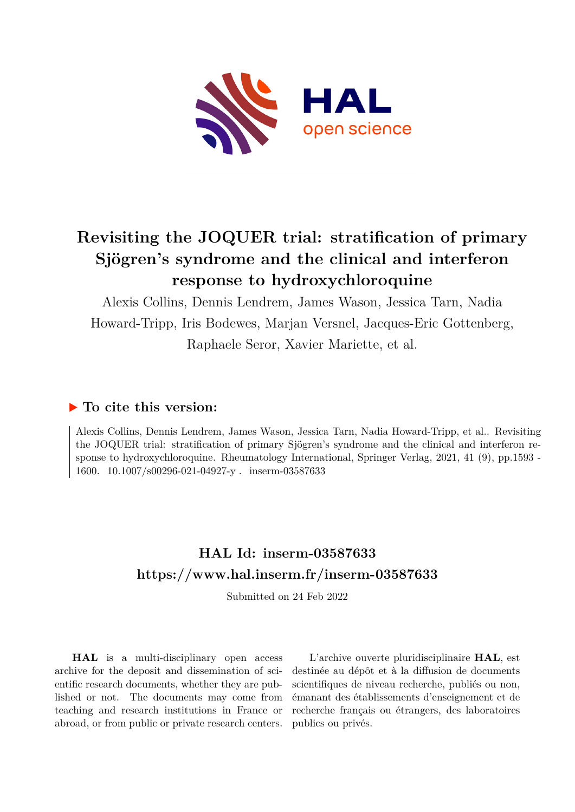

# **Revisiting the JOQUER trial: stratification of primary Sjögren's syndrome and the clinical and interferon response to hydroxychloroquine**

Alexis Collins, Dennis Lendrem, James Wason, Jessica Tarn, Nadia Howard-Tripp, Iris Bodewes, Marjan Versnel, Jacques-Eric Gottenberg, Raphaele Seror, Xavier Mariette, et al.

# **To cite this version:**

Alexis Collins, Dennis Lendrem, James Wason, Jessica Tarn, Nadia Howard-Tripp, et al.. Revisiting the JOQUER trial: stratification of primary Sjögren's syndrome and the clinical and interferon response to hydroxychloroquine. Rheumatology International, Springer Verlag, 2021, 41 (9), pp.1593 - 1600. 10.1007/s00296-021-04927-y . inserm-03587633

# **HAL Id: inserm-03587633 <https://www.hal.inserm.fr/inserm-03587633>**

Submitted on 24 Feb 2022

**HAL** is a multi-disciplinary open access archive for the deposit and dissemination of scientific research documents, whether they are published or not. The documents may come from teaching and research institutions in France or abroad, or from public or private research centers.

L'archive ouverte pluridisciplinaire **HAL**, est destinée au dépôt et à la diffusion de documents scientifiques de niveau recherche, publiés ou non, émanant des établissements d'enseignement et de recherche français ou étrangers, des laboratoires publics ou privés.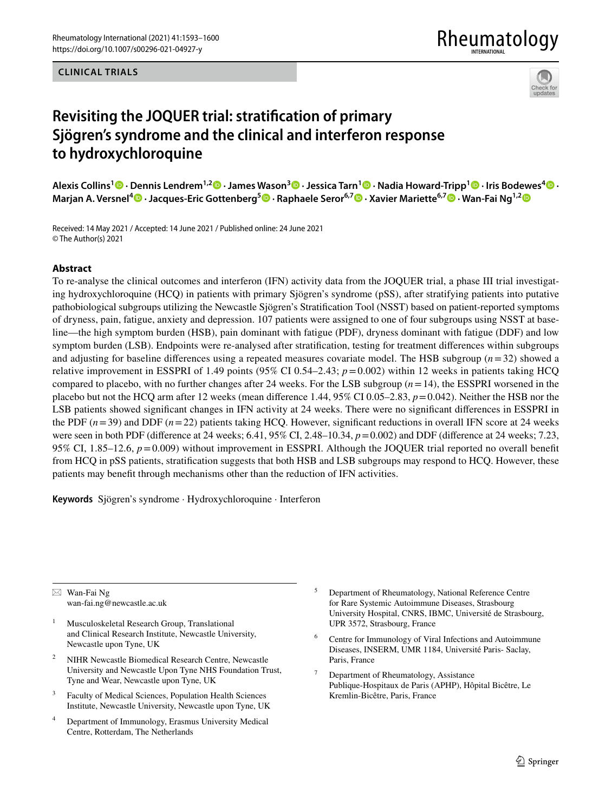**CLINICAL TRIALS**





# **Revisiting the JOQUER trial: stratifcation of primary Sjögren's syndrome and the clinical and interferon response to hydroxychloroquine**

**Alexis Collins1 · Dennis Lendrem1,[2](http://orcid.org/0000-0001-6268-5509) · James Wason<sup>3</sup>  [·](http://orcid.org/0000-0002-4691-126X) Jessica Tarn1 · Nadia Howard‑Tripp1  [·](http://orcid.org/0000-0002-2043-862X) Iris Bodewes[4](http://orcid.org/0000-0001-5206-4231) · Marjan A. Versnel<sup>4</sup> · Jacques‑Eric Gottenberg<sup>5</sup> · Raphaele Seror6,7 · Xavier Mariette6,[7](http://orcid.org/0000-0002-4244-5417) · Wan‑Fai Ng1,[2](http://orcid.org/0000-0002-5539-388X)**

Received: 14 May 2021 / Accepted: 14 June 2021 / Published online: 24 June 2021 © The Author(s) 2021

### **Abstract**

To re-analyse the clinical outcomes and interferon (IFN) activity data from the JOQUER trial, a phase III trial investigating hydroxychloroquine (HCQ) in patients with primary Sjögren's syndrome (pSS), after stratifying patients into putative pathobiological subgroups utilizing the Newcastle Sjögren's Stratifcation Tool (NSST) based on patient-reported symptoms of dryness, pain, fatigue, anxiety and depression. 107 patients were assigned to one of four subgroups using NSST at baseline—the high symptom burden (HSB), pain dominant with fatigue (PDF), dryness dominant with fatigue (DDF) and low symptom burden (LSB). Endpoints were re-analysed after stratifcation, testing for treatment diferences within subgroups and adjusting for baseline diferences using a repeated measures covariate model. The HSB subgroup (*n*=32) showed a relative improvement in ESSPRI of 1.49 points (95% CI 0.54–2.43; *p*=0.002) within 12 weeks in patients taking HCQ compared to placebo, with no further changes after 24 weeks. For the LSB subgroup (*n*=14), the ESSPRI worsened in the placebo but not the HCQ arm after 12 weeks (mean diference 1.44, 95% CI 0.05–2.83, *p*=0.042). Neither the HSB nor the LSB patients showed significant changes in IFN activity at 24 weeks. There were no significant differences in ESSPRI in the PDF  $(n=39)$  and DDF  $(n=22)$  patients taking HCQ. However, significant reductions in overall IFN score at 24 weeks were seen in both PDF (diference at 24 weeks; 6.41, 95% CI, 2.48–10.34, *p*=0.002) and DDF (diference at 24 weeks; 7.23, 95% CI, 1.85–12.6, *p*=0.009) without improvement in ESSPRI. Although the JOQUER trial reported no overall beneft from HCQ in pSS patients, stratifcation suggests that both HSB and LSB subgroups may respond to HCQ. However, these patients may beneft through mechanisms other than the reduction of IFN activities.

**Keywords** Sjögren's syndrome · Hydroxychloroquine · Interferon

 $\boxtimes$  Wan-Fai Ng wan-fai.ng@newcastle.ac.uk

- <sup>1</sup> Musculoskeletal Research Group, Translational and Clinical Research Institute, Newcastle University, Newcastle upon Tyne, UK
- <sup>2</sup> NIHR Newcastle Biomedical Research Centre, Newcastle University and Newcastle Upon Tyne NHS Foundation Trust, Tyne and Wear, Newcastle upon Tyne, UK
- <sup>3</sup> Faculty of Medical Sciences, Population Health Sciences Institute, Newcastle University, Newcastle upon Tyne, UK
- Department of Immunology, Erasmus University Medical Centre, Rotterdam, The Netherlands
- <sup>5</sup> Department of Rheumatology, National Reference Centre for Rare Systemic Autoimmune Diseases, Strasbourg University Hospital, CNRS, IBMC, Université de Strasbourg, UPR 3572, Strasbourg, France
- <sup>6</sup> Centre for Immunology of Viral Infections and Autoimmune Diseases, INSERM, UMR 1184, Université Paris- Saclay, Paris, France
- <sup>7</sup> Department of Rheumatology, Assistance Publique-Hospitaux de Paris (APHP), Hôpital Bicêtre, Le Kremlin-Bicêtre, Paris, France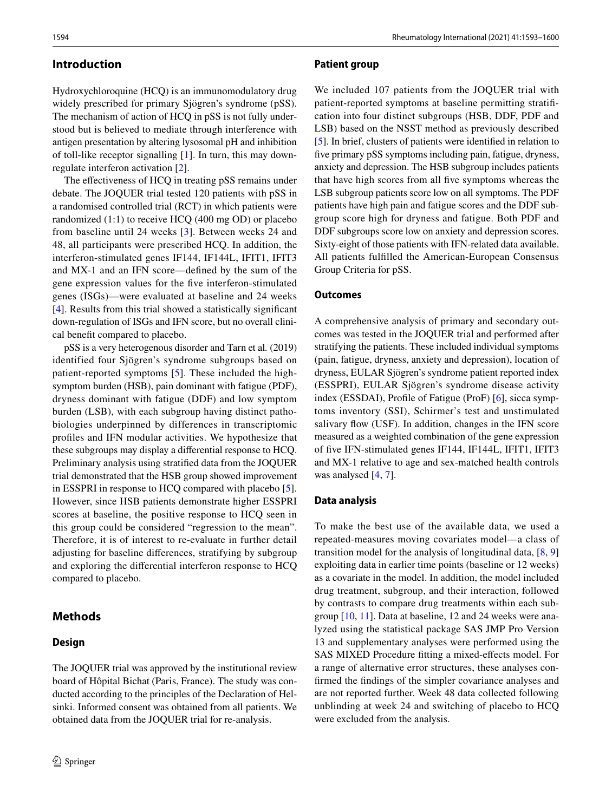# **Introduction**

Hydroxychloroquine (HCQ) is an immunomodulatory drug widely prescribed for primary Sjögren's syndrome (pSS). The mechanism of action of HCQ in pSS is not fully understood but is believed to mediate through interference with antigen presentation by altering lysosomal pH and inhibition of toll-like receptor signalling [1]. In turn, this may downregulate interferon activation [2].

The effectiveness of HCQ in treating pSS remains under debate. The JOQUER trial tested 120 patients with pSS in a randomised controlled trial (RCT) in which patients were randomized (1:1) to receive HCQ (400 mg OD) or placebo from baseline until 24 weeks [3]. Between weeks 24 and 48, all participants were prescribed HCQ. In addition, the interferon-stimulated genes IF144, IF144L, IFIT1, IFIT3 and MX-1 and an IFN score—defned by the sum of the gene expression values for the fve interferon-stimulated genes (ISGs)—were evaluated at baseline and 24 weeks [4]. Results from this trial showed a statistically signifcant down-regulation of ISGs and IFN score, but no overall clinical beneft compared to placebo.

pSS is a very heterogenous disorder and Tarn et al*.* (2019) identified four Sjögren's syndrome subgroups based on patient-reported symptoms [5]. These included the highsymptom burden (HSB), pain dominant with fatigue (PDF), dryness dominant with fatigue (DDF) and low symptom burden (LSB), with each subgroup having distinct pathobiologies underpinned by differences in transcriptomic profles and IFN modular activities. We hypothesize that these subgroups may display a diferential response to HCQ. Preliminary analysis using stratifed data from the JOQUER trial demonstrated that the HSB group showed improvement in ESSPRI in response to HCQ compared with placebo [5]. However, since HSB patients demonstrate higher ESSPRI scores at baseline, the positive response to HCQ seen in this group could be considered "regression to the mean". Therefore, it is of interest to re-evaluate in further detail adjusting for baseline diferences, stratifying by subgroup and exploring the diferential interferon response to HCQ compared to placebo.

# **Methods**

#### **Design**

The JOQUER trial was approved by the institutional review board of Hôpital Bichat (Paris, France). The study was conducted according to the principles of the Declaration of Helsinki. Informed consent was obtained from all patients. We obtained data from the JOQUER trial for re-analysis.

#### **Patient group**

We included 107 patients from the JOQUER trial with patient-reported symptoms at baseline permitting stratifcation into four distinct subgroups (HSB, DDF, PDF and LSB) based on the NSST method as previously described [5]. In brief, clusters of patients were identifed in relation to fve primary pSS symptoms including pain, fatigue, dryness, anxiety and depression. The HSB subgroup includes patients that have high scores from all fve symptoms whereas the LSB subgroup patients score low on all symptoms. The PDF patients have high pain and fatigue scores and the DDF subgroup score high for dryness and fatigue. Both PDF and DDF subgroups score low on anxiety and depression scores. Sixty-eight of those patients with IFN-related data available. All patients fulflled the American-European Consensus Group Criteria for pSS.

#### **Outcomes**

A comprehensive analysis of primary and secondary outcomes was tested in the JOQUER trial and performed after stratifying the patients. These included individual symptoms (pain, fatigue, dryness, anxiety and depression), location of dryness, EULAR Sjögren's syndrome patient reported index (ESSPRI), EULAR Sjögren's syndrome disease activity index (ESSDAI), Profle of Fatigue (ProF) [6], sicca symptoms inventory (SSI), Schirmer's test and unstimulated salivary flow (USF). In addition, changes in the IFN score measured as a weighted combination of the gene expression of fve IFN-stimulated genes IF144, IF144L, IFIT1, IFIT3 and MX-1 relative to age and sex-matched health controls was analysed [4, 7].

#### **Data analysis**

To make the best use of the available data, we used a repeated-measures moving covariates model—a class of transition model for the analysis of longitudinal data, [8, 9] exploiting data in earlier time points (baseline or 12 weeks) as a covariate in the model. In addition, the model included drug treatment, subgroup, and their interaction, followed by contrasts to compare drug treatments within each subgroup [10, 11]. Data at baseline, 12 and 24 weeks were analyzed using the statistical package SAS JMP Pro Version 13 and supplementary analyses were performed using the SAS MIXED Procedure ftting a mixed-efects model. For a range of alternative error structures, these analyses confrmed the fndings of the simpler covariance analyses and are not reported further. Week 48 data collected following unblinding at week 24 and switching of placebo to HCQ were excluded from the analysis.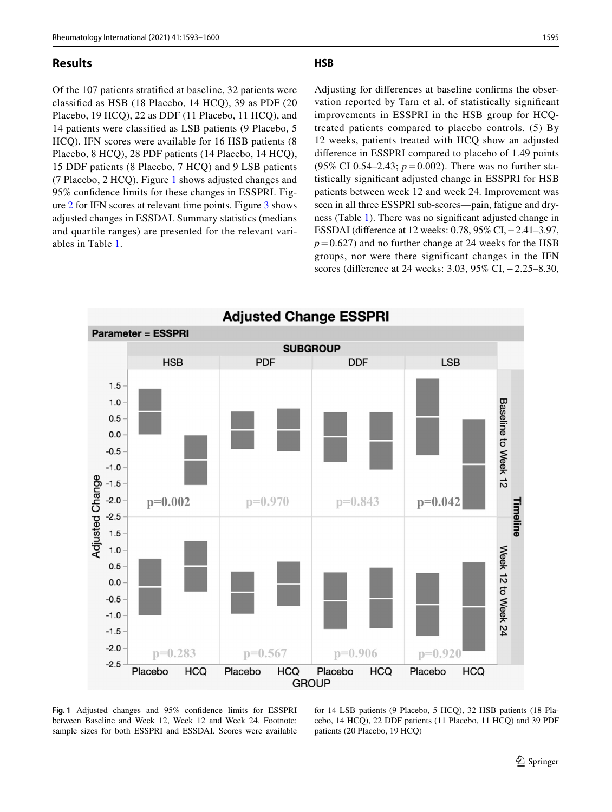### **Results**

Of the 107 patients stratifed at baseline, 32 patients were classifed as HSB (18 Placebo, 14 HCQ), 39 as PDF (20 Placebo, 19 HCQ), 22 as DDF (11 Placebo, 11 HCQ), and 14 patients were classifed as LSB patients (9 Placebo, 5 HCQ). IFN scores were available for 16 HSB patients (8 Placebo, 8 HCQ), 28 PDF patients (14 Placebo, 14 HCQ), 15 DDF patients (8 Placebo, 7 HCQ) and 9 LSB patients (7 Placebo, 2 HCQ). Figure 1 shows adjusted changes and 95% confdence limits for these changes in ESSPRI. Figure 2 for IFN scores at relevant time points. Figure 3 shows adjusted changes in ESSDAI. Summary statistics (medians and quartile ranges) are presented for the relevant variables in Table 1.

**HSB**

Adjusting for diferences at baseline confrms the observation reported by Tarn et al. of statistically signifcant improvements in ESSPRI in the HSB group for HCQtreated patients compared to placebo controls. (5) By 12 weeks, patients treated with HCQ show an adjusted diference in ESSPRI compared to placebo of 1.49 points (95% CI 0.54–2.43; *p*=0.002). There was no further statistically signifcant adjusted change in ESSPRI for HSB patients between week 12 and week 24. Improvement was seen in all three ESSPRI sub-scores—pain, fatigue and dryness (Table 1). There was no signifcant adjusted change in ESSDAI (diference at 12 weeks: 0.78, 95% CI,−2.41–3.97,  $p=0.627$ ) and no further change at 24 weeks for the HSB groups, nor were there significant changes in the IFN scores (diference at 24 weeks: 3.03, 95% CI,−2.25–8.30,



**Fig. 1** Adjusted changes and 95% confdence limits for ESSPRI between Baseline and Week 12, Week 12 and Week 24. Footnote: sample sizes for both ESSPRI and ESSDAI. Scores were available

for 14 LSB patients (9 Placebo, 5 HCQ), 32 HSB patients (18 Placebo, 14 HCQ), 22 DDF patients (11 Placebo, 11 HCQ) and 39 PDF patients (20 Placebo, 19 HCQ)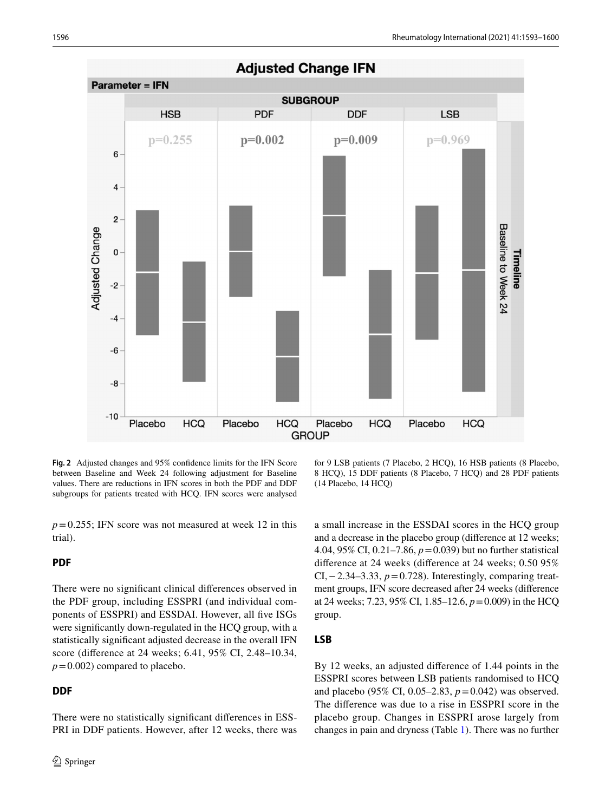

**Fig. 2** Adjusted changes and 95% confdence limits for the IFN Score between Baseline and Week 24 following adjustment for Baseline values. There are reductions in IFN scores in both the PDF and DDF subgroups for patients treated with HCQ. IFN scores were analysed

for 9 LSB patients (7 Placebo, 2 HCQ), 16 HSB patients (8 Placebo, 8 HCQ), 15 DDF patients (8 Placebo, 7 HCQ) and 28 PDF patients (14 Placebo, 14 HCQ)

 $p=0.255$ ; IFN score was not measured at week 12 in this trial).

# **PDF**

There were no signifcant clinical diferences observed in the PDF group, including ESSPRI (and individual components of ESSPRI) and ESSDAI. However, all five ISGs were signifcantly down-regulated in the HCQ group, with a statistically signifcant adjusted decrease in the overall IFN score (diference at 24 weeks; 6.41, 95% CI, 2.48–10.34,  $p=0.002$ ) compared to placebo.

# **DDF**

There were no statistically signifcant diferences in ESS-PRI in DDF patients. However, after 12 weeks, there was a small increase in the ESSDAI scores in the HCQ group and a decrease in the placebo group (diference at 12 weeks; 4.04, 95% CI, 0.21–7.86, *p*=0.039) but no further statistical diference at 24 weeks (diference at 24 weeks; 0.50 95% CI,−2.34–3.33, *p*=0.728). Interestingly, comparing treatment groups, IFN score decreased after 24 weeks (diference at 24 weeks; 7.23, 95% CI, 1.85–12.6, *p*=0.009) in the HCQ group.

# **LSB**

By 12 weeks, an adjusted diference of 1.44 points in the ESSPRI scores between LSB patients randomised to HCQ and placebo (95% CI, 0.05–2.83, *p*=0.042) was observed. The diference was due to a rise in ESSPRI score in the placebo group. Changes in ESSPRI arose largely from changes in pain and dryness (Table 1). There was no further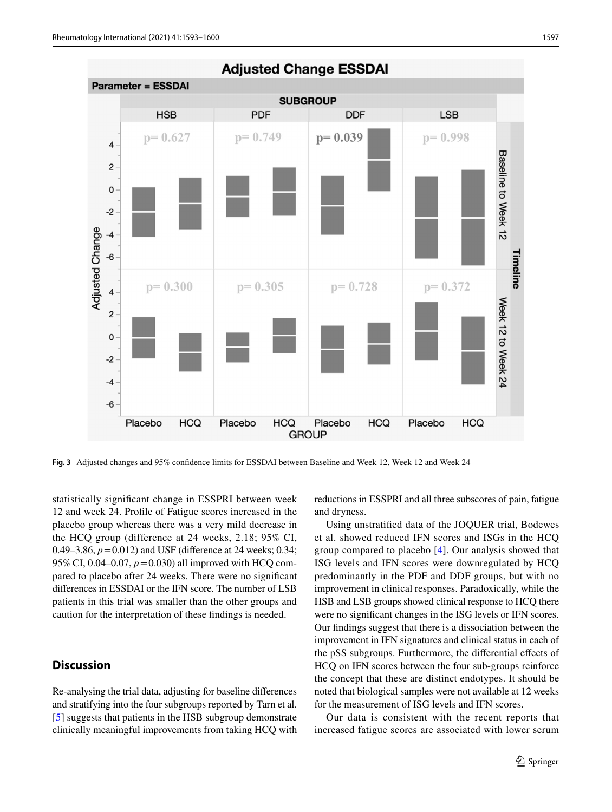

**Fig. 3** Adjusted changes and 95% confdence limits for ESSDAI between Baseline and Week 12, Week 12 and Week 24

statistically signifcant change in ESSPRI between week 12 and week 24. Profle of Fatigue scores increased in the placebo group whereas there was a very mild decrease in the HCQ group (difference at 24 weeks, 2.18; 95% CI, 0.49–3.86,  $p = 0.012$ ) and USF (difference at 24 weeks; 0.34; 95% CI, 0.04–0.07, *p*=0.030) all improved with HCQ compared to placebo after 24 weeks. There were no signifcant diferences in ESSDAI or the IFN score. The number of LSB patients in this trial was smaller than the other groups and caution for the interpretation of these fndings is needed.

### **Discussion**

Re-analysing the trial data, adjusting for baseline diferences and stratifying into the four subgroups reported by Tarn et al. [5] suggests that patients in the HSB subgroup demonstrate clinically meaningful improvements from taking HCQ with reductions in ESSPRI and all three subscores of pain, fatigue and dryness.

Using unstratifed data of the JOQUER trial, Bodewes et al. showed reduced IFN scores and ISGs in the HCQ group compared to placebo [4]. Our analysis showed that ISG levels and IFN scores were downregulated by HCQ predominantly in the PDF and DDF groups, but with no improvement in clinical responses. Paradoxically, while the HSB and LSB groups showed clinical response to HCQ there were no signifcant changes in the ISG levels or IFN scores. Our fndings suggest that there is a dissociation between the improvement in IFN signatures and clinical status in each of the pSS subgroups. Furthermore, the differential effects of HCQ on IFN scores between the four sub-groups reinforce the concept that these are distinct endotypes. It should be noted that biological samples were not available at 12 weeks for the measurement of ISG levels and IFN scores.

Our data is consistent with the recent reports that increased fatigue scores are associated with lower serum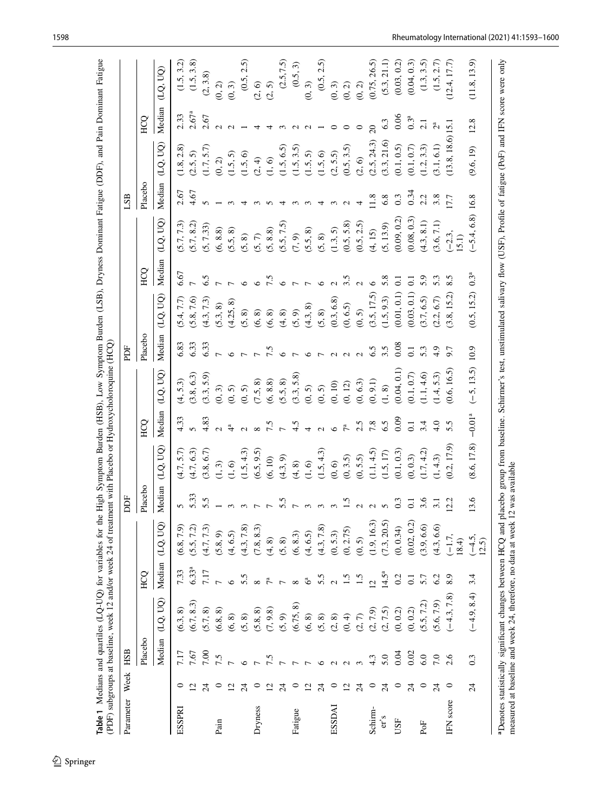|                |                 |              |                                                                               |                | (PDF) subgroups at baseline, week 12 and/or week 24 of treatment with Placebo or Hydroxycholoroquine (HCQ)<br>Table 1 Medians and quartiles (LQ-UQ) for variables for the                               |                  |                        |                | High Symptom Burden (HSB), Low Symptom Burden (LSB), Dryness Dominant Fatigue (DDF), and Pain Dominant Fatigue |                  |               |                          |                    |               |                     |                   |              |
|----------------|-----------------|--------------|-------------------------------------------------------------------------------|----------------|---------------------------------------------------------------------------------------------------------------------------------------------------------------------------------------------------------|------------------|------------------------|----------------|----------------------------------------------------------------------------------------------------------------|------------------|---------------|--------------------------|--------------------|---------------|---------------------|-------------------|--------------|
| Parameter Week |                 | HSB          |                                                                               |                |                                                                                                                                                                                                         | DDF              |                        |                |                                                                                                                | PDF              |               |                          |                    | LSB           |                     |                   |              |
|                |                 | Placebo      |                                                                               | HCO            |                                                                                                                                                                                                         | Placebo          |                        | <b>SCH</b>     |                                                                                                                | Placebo          |               | <b>COH</b>               |                    | Placebo       |                     | <b>HCQ</b>        |              |
|                |                 | Median       | (LQ, UQ)                                                                      | Median         | LQ, UQ                                                                                                                                                                                                  | Median           | (LQ, UQ)               | Median         | (LQ, UQ)                                                                                                       | Median           | (10, 10)      | Median                   | (LQ, UQ)           | Median        | (LQ, UQ)            | Median            | (LQ, UQ)     |
| ESSPRI         |                 | 7.17         | (6.3, 8)                                                                      | 7.33           | (6.8, 7.9)                                                                                                                                                                                              |                  | (4.7, 5.7)             | 4.33           | (4, 5.3)                                                                                                       | 6.83             | (5.4, 7.7)    | 6.67                     | (5.7, 7.3)         | 2.67          | (1.8, 2.8)          | 2.33              | (1.5, 3.2)   |
|                |                 | 7.67         | (6.7, 8.3)                                                                    | $6.33^{a}$     | (5.5, 7.2)                                                                                                                                                                                              | 5.33             | (4.7, 6.3)             |                | (3.8, 6.3)                                                                                                     | 6.33             | (5.8, 7.6)    |                          | (5.7, 8.2)         | 4.67          | (2.5, 5)            | 2.67 <sup>a</sup> | (1.5, 3.8)   |
|                | $\overline{24}$ | 7.00         | (5.7, 8)                                                                      | 7.17           | (4.7, 7.3)                                                                                                                                                                                              | 5.5              | (3.8, 6.7)             | 4.83           | (3.3, 5.9)                                                                                                     | 6.33             | (4.3, 7.3)    | 6.5                      | (5, 7.33)          | $\Omega$      | (1.7, 5.7)          | 2.67              | (2, 3.8)     |
| Pain           |                 | 7.5          | (6.8, 8)                                                                      | $\overline{ }$ | (5.8, 9)                                                                                                                                                                                                |                  | (1, 3)                 | $\sim$         | $(0, 3)$                                                                                                       |                  | (5.3, 8)      |                          | (6, 8.8)           |               | (0, 2)              | $\mathcal{L}$     | (0, 2)       |
|                | $\overline{c}$  |              | (6, 8)                                                                        | $\circ$        | (4, 6.5)                                                                                                                                                                                                |                  | $(1, 6)$               | $\ddot{4}$     | $(0, 5)$                                                                                                       | $\circ$          | (4.25, 8)     |                          | (5.5, 8)           |               | (1.5, 5)            | $\mathbf{C}$      | (0, 3)       |
|                | $^{24}$         | $\circ$      | (5, 8)                                                                        | 5.5            | (4.3, 7.8)                                                                                                                                                                                              |                  | (1.5, 4.3)             | $\sim$         | (0, 5)                                                                                                         |                  | (5, 8)        | $\circ$                  | (5, 8)             |               | (1.5, 6)            |                   | 2.5<br>(0.5, |
| Dryness        | $\circ$         |              | (5.8, 8)                                                                      | ${}^{\circ}$   | (7.8, 8.3)                                                                                                                                                                                              |                  | (6.5, 9.5)             | $\infty$       | (7.5, 8)                                                                                                       |                  | $(6,8)$       | $\circ$                  | (5, 7)             |               | $(2, 4)$            |                   | (2, 6)       |
|                | 12              |              | (7, 9.8)                                                                      |                | (4, 8)                                                                                                                                                                                                  |                  | (6, 10)                | 7.5            | (6, 8.8)                                                                                                       | 7.5              | (6, 8)        | $\sim$                   | (5, 8.8)           |               | (1, 6)              |                   | (2, 5)       |
|                | 24              |              | (5, 9)                                                                        | $\overline{ }$ | (5, 8)                                                                                                                                                                                                  | 5.5              | (4.3, 9)               |                | (5.5, 8)                                                                                                       |                  | $(4,8)$       | $\circ$                  | (5.5, 7.5)         |               | (1.5, 6.5)          |                   | (2.5, 7.5)   |
| Fatigue        | $\circ$         |              | (6.75, 8)                                                                     | ∞              | (6, 8.3)                                                                                                                                                                                                |                  | (4, 8)                 | 4.5            | (3.3, 5.8)                                                                                                     |                  | (5, 9)        |                          | (7, 9)             |               | (1.5, 3.5)          |                   | (0.5, 3)     |
|                | $\overline{c}$  |              | (6, 8)                                                                        | $6^a$          | (4, 6.5)                                                                                                                                                                                                | $\epsilon$       | $(1, 6)$               | $\rightarrow$  | $(0, 5)$                                                                                                       |                  | (4.3, 8)      | $\overline{ }$           | (5.5, 8)           |               | (1.5, 5)            |                   | (0, 3)       |
|                | 24              | $\circ$      | (5, 8)                                                                        | 5.5            | (4.3, 7.8)                                                                                                                                                                                              | $\epsilon$       | (1.5, 4.3)             | $\sim$         |                                                                                                                |                  | (5, 8)        | $\circ$                  | $(5,8)$            | 4             | (1.5, 6)            |                   | (0.5, 2.5)   |
| ESSDAI         |                 | $\mathbf{C}$ | (2, 8)                                                                        | $\sim$         | (0, 5.3)                                                                                                                                                                                                |                  | $(0, 6)$<br>$(0, 3.5)$ | $\circ$        | $\begin{array}{c} (0,5) \\ (0,10) \end{array}$                                                                 |                  | (0.3, 6.8)    | $\sim$                   | (1.3, 5)           |               | (2, 5.5)            |                   | (0, 3)       |
|                | $\overline{c}$  | $\sim$       | (0, 4)                                                                        | $\ddot{1.5}$   | (0, 2.75)                                                                                                                                                                                               |                  |                        | $7^{\rm a}$    | $(0, 12)$                                                                                                      | $\sim$           | (0, 6.5)      | 3.5                      | (0.5, 5.8)         | $\mathcal{L}$ | (0.5, 3.5)          |                   | (0, 2)       |
|                | 24              | 3            | (2, 7)                                                                        | 1.5            | (0, 5)                                                                                                                                                                                                  |                  | (0, 5.5)               | 2.5            |                                                                                                                | $\sim$           | $(0, 5)$      |                          | (0.5, 2.5)         | 4             | (2, 6)              | $\circ$           | (0, 2)       |
| Schirm-        | $\circ$         | 4.3          | (2, 7.9)                                                                      | $\overline{2}$ | (1.9, 16.3)                                                                                                                                                                                             |                  | (1.1, 4.5)             | 7.8            |                                                                                                                | 6.5              | (3.5, 17.5)   | $\circ$                  | (4, 15)            | 11.8          | (2.5, 24.3)         | 20                | (0.75, 26.5) |
| er's           | $\overline{24}$ | 5.0          | (2, 7.5)                                                                      | $14.5^a$       | (7.3, 20.5)                                                                                                                                                                                             | $\sim$           | (1.5, 17)              | 6.5            | $\begin{array}{c} (0, \, 6.3) \\ (0, \, 9.1) \\ (1, \, 8) \end{array}$                                         | 3.5              | (1.5, 9.3)    | 5.8                      | (5, 13.9)          | 6.8           | (3.3, 21.6)         | 6.3               | (5.3, 21.1)  |
| USF            | $\circ$         | 0.04         | (0, 0.2)                                                                      | 0.2            | (0, 0.34)                                                                                                                                                                                               | 0.3              | (0.1, 0.3)             | 0.09           | (0.04, 0.1)                                                                                                    | 0.08             | (0.01, 0.1)   | $\overline{5}$           | (0.09, 0.2)        | 0.3           | (0.1, 0.5)          | 0.06              | (0.03, 0.2)  |
|                | 24              | 0.02         | (0, 0.2)                                                                      | $\overline{0}$ | (0.02, 0.2)                                                                                                                                                                                             | $\overline{0}$   | (0, 0.3)               | $\overline{0}$ | $(0.1,\,0.7)$                                                                                                  | $\overline{0}$ . | (0.03, 0.1)   | $\overline{c}$           | (0.08, 0.3)        | 0.34          | (0.1, 0.7)          | 0.3 <sup>a</sup>  | (0.04, 0.3)  |
| PoF            | $\circ$         | 6.0          | (5.5, 7.2)                                                                    | 5.7            | (3.9, 6.6)                                                                                                                                                                                              | 3.6              | (1.7, 4.2)             | 3.4            | (1.1, 4.6)                                                                                                     | 5.3              | (3.7, 6.5)    | 5.9                      | (4.3, 8.1)         | 2.2           | (1.2, 3.3)          |                   | (1.3, 3.5)   |
|                | 24              | 7.0          | (5.6, 7.9)                                                                    | 6.2            | (4.3, 6.6)                                                                                                                                                                                              | $\overline{3.1}$ | (1, 4.3)               | 4.0            | (1.4, 5.3)                                                                                                     | 4.9              | (2.2, 6.7)    |                          | (3.6, 7.1)         | 3.8           | (3.1, 6.1)          | $2^a$             | (1.5, 2.7)   |
| IFN score      | $\circ$         | 2.6          | $(-4.3, 7.8)$                                                                 | 8.9            | $(-1.7,$<br>18.4                                                                                                                                                                                        | 12.2             | (0.2, 17.9)            | 5.5            | (0.6, 16.5)                                                                                                    | 0.7              | 15.2<br>(3.8, |                          | $(-2.3,$<br>(15.1) | 17.7          | $(13.8, 18.6)$ 15.1 |                   | (12.4, 17.7) |
|                | $\overline{24}$ | 0.3          | $(-4.9, 8.4)$                                                                 | 3.4            | $(-4.5,$<br>12.5                                                                                                                                                                                        | 13.6             | (8.6, 17.8)            | $-0.01a$       | $(-5, 13.5)$                                                                                                   | 10.9             | (0.5, 15.2)   | $0.\overline{3}^{\rm a}$ | $(-5.4, 6.8)$      | 16.8          | (9.6, 19)           | 12.8              | (11.8, 13.9) |
|                |                 |              | measured at baseline and week 24, therefore, no data at week 12 was available |                | <sup>a</sup> Denotes statistically significant changes between HCQ and placebo group from baseline. Schirmer's test, unstimulated salivary flow (USF), Profile of fatigue (PoF) and IFN score were only |                  |                        |                |                                                                                                                |                  |               |                          |                    |               |                     |                   |              |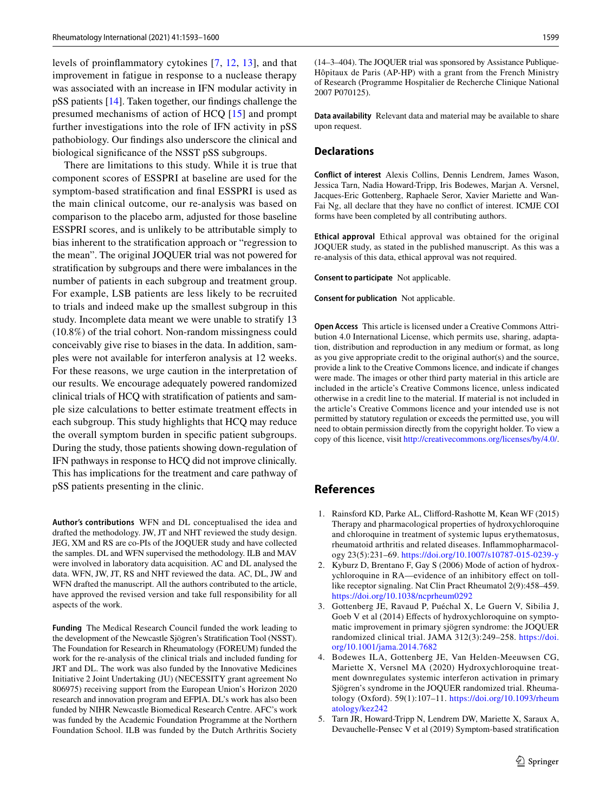levels of proinfammatory cytokines [7, 12, 13], and that improvement in fatigue in response to a nuclease therapy was associated with an increase in IFN modular activity in pSS patients [14]. Taken together, our fndings challenge the presumed mechanisms of action of HCQ [15] and prompt further investigations into the role of IFN activity in pSS pathobiology. Our fndings also underscore the clinical and biological signifcance of the NSST pSS subgroups.

There are limitations to this study. While it is true that component scores of ESSPRI at baseline are used for the symptom-based stratifcation and fnal ESSPRI is used as the main clinical outcome, our re-analysis was based on comparison to the placebo arm, adjusted for those baseline ESSPRI scores, and is unlikely to be attributable simply to bias inherent to the stratifcation approach or "regression to the mean". The original JOQUER trial was not powered for stratifcation by subgroups and there were imbalances in the number of patients in each subgroup and treatment group. For example, LSB patients are less likely to be recruited to trials and indeed make up the smallest subgroup in this study. Incomplete data meant we were unable to stratify 13 (10.8%) of the trial cohort. Non-random missingness could conceivably give rise to biases in the data. In addition, samples were not available for interferon analysis at 12 weeks. For these reasons, we urge caution in the interpretation of our results. We encourage adequately powered randomized clinical trials of HCQ with stratifcation of patients and sample size calculations to better estimate treatment efects in each subgroup. This study highlights that HCQ may reduce the overall symptom burden in specifc patient subgroups. During the study, those patients showing down-regulation of IFN pathways in response to HCQ did not improve clinically. This has implications for the treatment and care pathway of pSS patients presenting in the clinic.

**Author's contributions** WFN and DL conceptualised the idea and drafted the methodology. JW, JT and NHT reviewed the study design. JEG, XM and RS are co-PIs of the JOQUER study and have collected the samples. DL and WFN supervised the methodology. ILB and MAV were involved in laboratory data acquisition. AC and DL analysed the data. WFN, JW, JT, RS and NHT reviewed the data. AC, DL, JW and WFN drafted the manuscript. All the authors contributed to the article, have approved the revised version and take full responsibility for all aspects of the work.

**Funding** The Medical Research Council funded the work leading to the development of the Newcastle Sjögren's Stratifcation Tool (NSST). The Foundation for Research in Rheumatology (FOREUM) funded the work for the re-analysis of the clinical trials and included funding for JRT and DL. The work was also funded by the Innovative Medicines Initiative 2 Joint Undertaking (JU) (NECESSITY grant agreement No 806975) receiving support from the European Union's Horizon 2020 research and innovation program and EFPIA. DL's work has also been funded by NIHR Newcastle Biomedical Research Centre. AFC's work was funded by the Academic Foundation Programme at the Northern Foundation School. ILB was funded by the Dutch Arthritis Society

(14–3–404). The JOQUER trial was sponsored by Assistance Publique-Hôpitaux de Paris (AP-HP) with a grant from the French Ministry of Research (Programme Hospitalier de Recherche Clinique National 2007 P070125).

**Data availability** Relevant data and material may be available to share upon request.

#### **Declarations**

**Conflict of interest** Alexis Collins, Dennis Lendrem, James Wason, Jessica Tarn, Nadia Howard-Tripp, Iris Bodewes, Marjan A. Versnel, Jacques-Eric Gottenberg, Raphaele Seror, Xavier Mariette and Wan-Fai Ng, all declare that they have no confict of interest. ICMJE COI forms have been completed by all contributing authors.

**Ethical approval** Ethical approval was obtained for the original JOQUER study, as stated in the published manuscript. As this was a re-analysis of this data, ethical approval was not required.

**Consent to participate** Not applicable.

**Consent for publication** Not applicable.

**Open Access** This article is licensed under a Creative Commons Attribution 4.0 International License, which permits use, sharing, adaptation, distribution and reproduction in any medium or format, as long as you give appropriate credit to the original author(s) and the source, provide a link to the Creative Commons licence, and indicate if changes were made. The images or other third party material in this article are included in the article's Creative Commons licence, unless indicated otherwise in a credit line to the material. If material is not included in the article's Creative Commons licence and your intended use is not permitted by statutory regulation or exceeds the permitted use, you will need to obtain permission directly from the copyright holder. To view a copy of this licence, visit<http://creativecommons.org/licenses/by/4.0/>.

# **References**

- 1. Rainsford KD, Parke AL, Cliford-Rashotte M, Kean WF (2015) Therapy and pharmacological properties of hydroxychloroquine and chloroquine in treatment of systemic lupus erythematosus, rheumatoid arthritis and related diseases. Infammopharmacology 23(5):231–69. <https://doi.org/10.1007/s10787-015-0239-y>
- 2. Kyburz D, Brentano F, Gay S (2006) Mode of action of hydroxychloroquine in RA—evidence of an inhibitory efect on tolllike receptor signaling. Nat Clin Pract Rheumatol 2(9):458–459. <https://doi.org/10.1038/ncprheum0292>
- 3. Gottenberg JE, Ravaud P, Puéchal X, Le Guern V, Sibilia J, Goeb V et al (2014) Efects of hydroxychloroquine on symptomatic improvement in primary sjögren syndrome: the JOQUER randomized clinical trial. JAMA 312(3):249–258. [https://doi.](https://doi.org/10.1001/jama.2014.7682) [org/10.1001/jama.2014.7682](https://doi.org/10.1001/jama.2014.7682)
- 4. Bodewes ILA, Gottenberg JE, Van Helden-Meeuwsen CG, Mariette X, Versnel MA (2020) Hydroxychloroquine treatment downregulates systemic interferon activation in primary Sjögren's syndrome in the JOQUER randomized trial. Rheumatology (Oxford). 59(1):107–11. [https://doi.org/10.1093/rheum](https://doi.org/10.1093/rheumatology/kez242) [atology/kez242](https://doi.org/10.1093/rheumatology/kez242)
- 5. Tarn JR, Howard-Tripp N, Lendrem DW, Mariette X, Saraux A, Devauchelle-Pensec V et al (2019) Symptom-based stratifcation